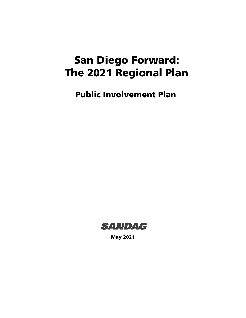# San Diego Forward: The 2021 Regional Plan

Public Involvement Plan



May 2021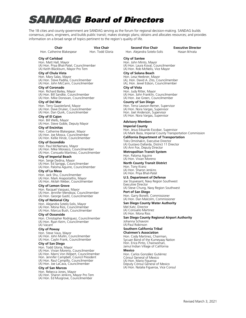# SANDAG Board of Directors

**Vice Chair**

The 18 cities and county government are SANDAG serving as the forum for regional decision-making. SANDAG builds consensus; plans, engineers, and builds public transit; makes strategic plans; obtains and allocates resources; and provides information on a broad range of topics pertinent to the region's quality of life.

#### **Chair**

Hon. Catherine Blakespear Hon. Todd Gloria

**City of Carlsbad**

Hon. Matt Hall, Mayor (A) Hon. Priya Bhat-Patel, Councilmember (A) Keith Blackburn, Mayor Pro Tem

#### **City of Chula Vista**

Hon. Mary Salas, Mayor (A) Hon. Steve Padilla, Councilmember (A) Hon. John McCann, Councilmember

#### **City of Coronado**

Hon. Richard Bailey, Mayor (A) Hon. Bill Sandke, Councilmember (A) Hon. Mike Donovan, Councilmember

#### **City of Del Mar**

Hon. Terry Gaasterland, Mayor (A) Hon. Dave Druker, Councilmember (A) Hon. Dan Quirk, Councilmember

#### **City of El Cajon**

Hon. Bill Wells, Mayor (A) Hon. Steve Goble, Deputy Mayor

#### **City of Encinitas**

Hon. Catherine Blakespear, Mayor (A) Hon. Joe Mosca, Councilmember (A) Hon. Kellie Hinze, Councilmember

#### **City of Escondido**

Hon. Paul McNamara, Mayor (A) Hon. Mike Morasco, Councilmember (A) Hon. Consuelo Martinez, Councilmember

#### **City of Imperial Beach**

Hon. Serge Dedina, Mayor (A) Hon. Ed Spriggs, Councilmember (A) Hon. Paloma Aguirre, Councilmember

#### **City of La Mesa**

Hon. Jack Shu, Councilmember (A) Hon. Mark Arapostathis, Mayor (A) Hon. Akilah Weber, Councilmember

#### **City of Lemon Grove**

Hon. Racquel Vasquez, Mayor (A) Hon. Jennifer Mendoza, Councilmember (A) Hon. George Gastil, Councilmember

#### **City of National City**

Hon. Alejandra Sotelo-Solis, Mayor (A) Hon. Mona Rios, Councilmember (A) Hon. Marcus Bush, Councilmember

#### **City of Oceanside**

Hon. Christopher Rodriguez, Councilmember (A) Hon. Ryan Keim, Councilmember (A) Vacant

#### **City of Poway**

Hon. Steve Vaus, Mayor (A) Hon. John Mullin, Councilmember (A) Hon. Caylin Frank, Councilmember

#### **City of San Diego**

Hon. Todd Gloria, Mayor (A) Hon. Vivian Moreno, Councilmember (A) Hon. Marni Von Wilpert, Councilmember Hon. Jennifer Campbell, Council President (A) Hon. Raul Campillo, Councilmember (A) Hon. Joe LaCava, Councilmember

#### **City of San Marcos**

Hon. Rebecca Jones, Mayor (A) Hon. Sharon Jenkins, Mayor Pro Tem (A) Hon. Ed Musgrove, Councilmember

**Second Vice Chair** Hon. Alejandra Sotelo-Solis

## **City of Santee**

Hon. John Minto, Mayor (A) Hon. Laura Koval, Councilmember (A) Hon. Rob McNelis, Vice Mayor

**Executive Director** Hasan Ikhrata

## **City of Solana Beach**

Hon. Lesa Heebner, Mayor (A), Hon. David A. Zito, Councilmember (A), Hon. Jewel Edson, Councilmember

## **City of Vista**

Hon. Judy Ritter, Mayor (A) Hon. John Franklin, Councilmember (A) Hon. Joe Green, Councilmember

#### **County of San Diego**

Hon. Terra Lawson-Remer, Supervisor (A) Hon. Nora Vargas, Supervisor Hon. Joel Anderson, Supervisor (A) Hon. Nora Vargas, Supervisor

#### **Advisory Members**

**Imperial County** Hon. Jesus Eduardo Escobar, Supervisor (A) Mark Baza, Imperial County Transportation Commission

#### **California Department of Transportation**

Toks Omishakin, Executive Director (A) Gustavo Dallarda, District 11 Director (A) Ann Fox, Deputy Director

#### **Metropolitan Transit System** Hon. Paloma Aguirre

(A) Hon. Vivian Moreno

## **North County Transit District**

Hon. Tony Kranz (A) Hon. Sharon Jenkins (A) Hon. Priya Bhat-Patel

#### **U.S. Department of Defense**

Joe Stuyvesant, Navy Region Southwest Executive Director (A) Steve Chung, Navy Region Southwest

## **Port of San Diego**

Hon. Garry Bonelli, Commissioner (A) Hon. Dan Malcolm, Commissioner **San Diego County Water Authority**

#### Mel Katz, Director (A) Consuelo Martinez

(A) Hon. Mona Rios **San Diego County Regional Airport Authority**

Johanna Schiavoni (A) Paul Robinson

#### **Southern California Tribal Chairmen's Association**

Hon. Cody Martinez, Chairman, Sycuan Band of the Kumeyaay Nation Hon. Erica Pinto, Chairwoman, Jamul Indian Village of California

#### **Mexico**

Hon. Carlos González Gutiérrez Cónsul General of Mexico (A) Hon. Mario Figueroa Deputy Cónsul General of Mexico (A) Hon. Natalia Figueroa, Vice Consul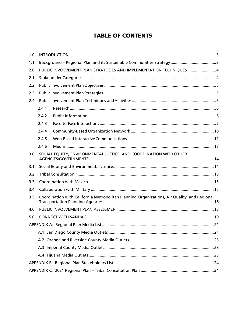# **TABLE OF CONTENTS**

| 1.0 |                                                                                             |                                                                   |  |  |  |  |
|-----|---------------------------------------------------------------------------------------------|-------------------------------------------------------------------|--|--|--|--|
| 1.1 |                                                                                             |                                                                   |  |  |  |  |
| 2.0 |                                                                                             | PUBLIC INVOLVEMENT PLAN STRATEGIES AND IMPLEMENTATION TECHNIQUES4 |  |  |  |  |
| 2.1 |                                                                                             |                                                                   |  |  |  |  |
| 2.2 |                                                                                             |                                                                   |  |  |  |  |
| 2.3 |                                                                                             |                                                                   |  |  |  |  |
| 2.4 |                                                                                             |                                                                   |  |  |  |  |
|     | 2.4.1                                                                                       |                                                                   |  |  |  |  |
|     | 2.4.2                                                                                       |                                                                   |  |  |  |  |
|     | 2.4.3                                                                                       |                                                                   |  |  |  |  |
|     | 2.4.4                                                                                       |                                                                   |  |  |  |  |
|     | 2.4.5                                                                                       |                                                                   |  |  |  |  |
|     | 2.4.6                                                                                       |                                                                   |  |  |  |  |
| 3.0 |                                                                                             | SOCIAL EQUITY, ENVIRONMENTAL JUSTICE, AND COORDINATION WITH OTHER |  |  |  |  |
| 3.1 |                                                                                             |                                                                   |  |  |  |  |
| 3.2 |                                                                                             |                                                                   |  |  |  |  |
| 3.3 |                                                                                             |                                                                   |  |  |  |  |
| 3.4 |                                                                                             |                                                                   |  |  |  |  |
| 3.5 | Coordination with California Metropolitan Planning Organizations, Air Quality, and Regional |                                                                   |  |  |  |  |
| 4.0 |                                                                                             |                                                                   |  |  |  |  |
| 5.0 |                                                                                             |                                                                   |  |  |  |  |
|     |                                                                                             |                                                                   |  |  |  |  |
|     |                                                                                             |                                                                   |  |  |  |  |
|     |                                                                                             |                                                                   |  |  |  |  |
|     |                                                                                             |                                                                   |  |  |  |  |
|     |                                                                                             |                                                                   |  |  |  |  |
|     |                                                                                             |                                                                   |  |  |  |  |
|     |                                                                                             |                                                                   |  |  |  |  |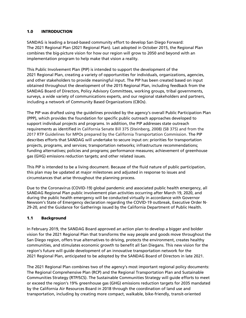#### <span id="page-3-0"></span>1.0 INTRODUCTION

SANDAG is leading a broad-based community effort to develop San Diego Forward: The 2021 Regional Plan (2021 Regional Plan). Last adopted in October 2015, the Regional Plan combines the big-picture vision for how our region will grow to 2050 and beyond with an implementation program to help make that vision a reality.

This Public Involvement Plan (PIP) is intended to support the development of the 2021 Regional Plan, creating a variety of opportunities for individuals, organizations, agencies, and other stakeholders to provide meaningful input. The PIP has been created based on input obtained throughout the development of the 2015 Regional Plan, including feedback from the SANDAG Board of Directors, Policy Advisory Committees, working groups, tribal governments, surveys, a wide variety of communications experts, and our regional stakeholders and partners, including a network of Community Based Organizations (CBOs).

The PIP was drafted using the guidelines provided by the agency's overall Public Participation Plan (PPP), which provides the foundation for specific public outreach approaches developed to support individual projects and programs. In addition, the PIP addresses state outreach requirements as identified in California Senate Bill 375 (Steinberg, 2008) (SB 375) and from the 2017 RTP Guidelines for MPOs prepared by the California Transportation Commission. The PIP describes efforts that SANDAG will undertake to secure input on: priorities for transportation projects, programs, and services; transportation networks; infrastructure recommendations; funding alternatives; policies and programs; performance measures; achievement of greenhouse gas (GHG) emissions reduction targets; and other related issues.

This PIP is intended to be a living document. Because of the fluid nature of public participation, this plan may be updated at major milestones and adjusted in response to issues and circumstances that arise throughout the planning process.

Due to the Coronavirus (COVID-19) global pandemic and associated public health emergency, all SANDAG Regional Plan public involvement plan activities occurring after March 19, 2020, and during the public health emergency will be conducted virtually in accordance with Governor Newsom's State of Emergency declaration regarding the COVID-19 outbreak, Executive Order N-29-20, and the Guidance for Gatherings issued by the California Department of Public Health.

## <span id="page-3-1"></span>1.1 Background

In February 2019, the SANDAG Board approved an action plan to develop a bigger and bolder vision for the 2021 Regional Plan that transforms the way people and goods move throughout the San Diego region, offers true alternatives to driving, protects the environment, creates healthy communities, and stimulates economic growth to benefit all San Diegans. This new vision for the region's future will guide development of an innovative transportation network for the 2021 Regional Plan, anticipated to be adopted by the SANDAG Board of Directors in late 2021.

The 2021 Regional Plan combines two of the agency's most important regional policy documents: The Regional Comprehensive Plan (RCP) and the Regional Transportation Plan and Sustainable Communities Strategy (RTP/SCS). The Sustainable Communities Strategy will guide efforts to meet or exceed the region's 19% greenhouse gas (GHG) emissions reduction targets for 2035 mandated by the California Air Resources Board in 2018 through the coordination of land use and transportation, including by creating more compact, walkable, bike-friendly, transit-oriented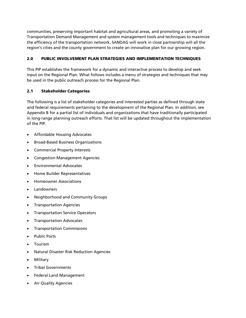communities, preserving important habitat and agricultural areas, and promoting a variety of Transportation Demand Management and system management tools and techniques to maximize the efficiency of the transportation network. SANDAG will work in close partnership will all the region's cities and the county government to create an innovative plan for our growing region.

## <span id="page-4-0"></span>2.0 PUBLIC INVOLVEMENT PLAN STRATEGIES AND IMPLEMENTATION TECHNIQUES

This PIP establishes the framework for a dynamic and interactive process to develop and seek input on the Regional Plan. What follows includes a menu of strategies and techniques that may be used in the public outreach process for the Regional Plan.

## <span id="page-4-1"></span>2.1 Stakeholder Categories

The following is a list of stakeholder categories and interested parties as defined through state and federal requirements pertaining to the development of the Regional Plan. In addition, see Appendix B for a partial list of individuals and organizations that have traditionally participated in long-range planning outreach efforts. That list will be updated throughout the implementation of the PIP.

- Affordable Housing Advocates
- Broad-Based Business Organizations
- Commercial Property Interests
- Congestion Management Agencies
- Environmental Advocates
- Home Builder Representatives
- Homeowner Associations
- Landowners
- Neighborhood and Community Groups
- Transportation Agencies
- Transportation Service Operators
- Transportation Advocates
- Transportation Commissions
- Public Ports
- Tourism
- Natural Disaster Risk Reduction Agencies
- **Military**
- Tribal Governments
- Federal Land Management
- Air Quality Agencies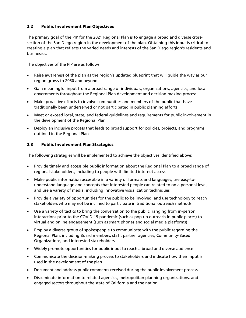## <span id="page-5-0"></span>2.2 Public Involvement Plan Objectives

The primary goal of the PIP for the 2021 Regional Plan is to engage a broad and diverse crosssection of the San Diego region in the development of the plan. Obtaining this input is critical to creating a plan that reflects the varied needs and interests of the San Diego region's residents and businesses.

The objectives of the PIP are as follows:

- Raise awareness of the plan as the region's updated blueprint that will guide the way as our region grows to 2050 and beyond
- Gain meaningful input from a broad range of individuals, organizations, agencies, and local governments throughout the Regional Plan development and decision-making process
- Make proactive efforts to involve communities and members of the public that have traditionally been underserved or not participated in public planning efforts
- Meet or exceed local, state, and federal guidelines and requirements for public involvement in the development of the Regional Plan
- Deploy an inclusive process that leads to broad support for policies, projects, and programs outlined in the Regional Plan

## <span id="page-5-1"></span>2.3 Public Involvement Plan Strategies

The following strategies will be implemented to achieve the objectives identified above:

- Provide timely and accessible public information about the Regional Plan to a broad range of regional stakeholders, including to people with limited internet access
- Make public information accessible in a variety of formats and languages, use easy-tounderstand language and concepts that interested people can related to on a personal level, and use a variety of media, including innovative visualization techniques
- Provide a variety of opportunities for the public to be involved, and use technology to reach stakeholders who may not be inclined to participate in traditional outreach methods
- Use a variety of tactics to bring the conversation to the public, ranging from in-person interactions prior to the COVID-19 pandemic (such as pop-up outreach in public places) to virtual and online engagement (such as smart phones and social media platforms)
- Employ a diverse group of spokespeople to communicate with the public regarding the Regional Plan, including Board members, staff, partner agencies, Community-Based Organizations, and interested stakeholders
- Widely promote opportunities for public input to reach a broad and diverse audience
- Communicate the decision-making process to stakeholders and indicate how their input is used in the development of theplan
- Document and address public comments received during the public involvement process
- Disseminate information to related agencies, metropolitan planning organizations, and engaged sectors throughout the state of California and the nation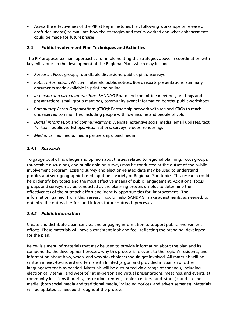• Assess the effectiveness of the PIP at key milestones (i.e., following workshops or release of draft documents) to evaluate how the strategies and tactics worked and what enhancements could be made for future phases

#### <span id="page-6-0"></span>2.4 Public Involvement Plan Techniques and Activities

The PIP proposes six main approaches for implementing the strategies above in coordination with key milestones in the development of the Regional Plan, which may include:

- *Research*: Focus groups, roundtable discussions, public opinionsurveys
- *Public information*: Written materials, public notices, Board reports, presentations, summary documents made available in-print and online
- *In-person and virtual interactions*: SANDAG Board and committee meetings, briefings and presentations, small group meetings, community event information booths, publicworkshops
- C*ommunity-Based Organizations (CBOs)*: Partnership network with regional CBOs to reach underserved communities, including people with low income and people of color
- *Digital information and communications*: Website, extensive social media, email updates, text, "virtual" public workshops, visualizations, surveys, videos, renderings
- *Media*: Earned media, media partnerships, paid media

## <span id="page-6-1"></span>*2.4.1 Research*

To gauge public knowledge and opinion about issues related to regional planning, focus groups, roundtable discussions, and public opinion surveys may be conducted at the outset of the public involvement program. Existing survey and election-related data may be used to understand profiles and seek geographic-based input on a variety of Regional Plan topics. This research could help identify key topics and the most effective means of public engagement. Additional focus groups and surveys may be conducted as the planning process unfolds to determine the effectiveness of the outreach effort and identify opportunities for improvement. The information gained from this research could help SANDAG make adjustments, as needed, to optimize the outreach effort and inform future outreach processes.

## <span id="page-6-2"></span>*2.4.2 Public Information*

Create and distribute clear, concise, and engaging information to support public involvement efforts. These materials will have a consistent look and feel, reflecting the branding developed for the plan.

Below is a menu of materials that may be used to provide information about the plan and its components; the development process; why this process is relevant to the region's residents; and information about how, when, and why stakeholders should get involved. All materials will be written in easy-to-understand terms with limited jargon and provided in Spanish or other languages/formats as needed. Materials will be distributed via a range of channels, including electronically (email and website); at in-person and virtual presentations, meetings, and events; at community locations (libraries, recreation centers, senior centers, and stores); and in the media (both social media and traditional media, including notices and advertisements). Materials will be updated as needed throughout the process.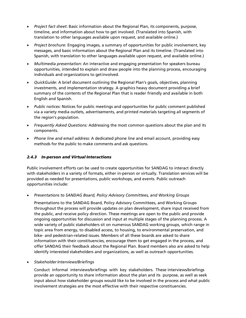- *Project fact sheet*: Basic information about the Regional Plan, its components, purpose, timeline, and information about how to get involved. (Translated into Spanish, with translation to other languages available upon request, and available online.)
- *Project brochure*: Engaging images, a summary of opportunities for public involvement, key messages, and basic information about the Regional Plan and its timeline. (Translated into Spanish, with translation to other languages available upon request, and available online.)
- *Multimedia presentation*: An interactive and engaging presentation for speakers bureau opportunities, intended to explain and draw people into the planning process, encouraging individuals and organizations to getinvolved.
- *QuickGuide*: A brief document outlining the Regional Plan's goals, objectives, planning investments, and implementation strategy. A graphics heavy document providing a brief summary of the contents of the Regional Plan that is reader friendly and available in both English and Spanish.
- *Public notices:* Notices for public meetings and opportunities for public comment published via a variety media outlets, advertisements, and printed materials targeting all segments of the region's population.
- *Frequently Asked Questions:* Addressing the most common questions about the plan and its components.
- *Phone line and email address:* A dedicated phone line and email account, providing easy methods for the public to make comments and ask questions.

## <span id="page-7-0"></span>*2.4.3 In-person and Virtual Interactions*

Public involvement efforts can be used to create opportunities for SANDAG to interact directly with stakeholders in a variety of formats, either in-person or virtually. Translation services will be provided as needed for presentations, public workshops, and events. Public outreach opportunities include:

• *Presentations to SANDAG Board, Policy Advisory Committees, and Working Groups*

Presentations to the SANDAG Board, Policy Advisory Committees, and Working Groups throughout the process will provide updates on plan development, share input received from the public, and receive policy direction. These meetings are open to the public and provide ongoing opportunities for discussion and input at multiple stages of the planning process. A wide variety of public stakeholders sit on numerous SANDAG working groups, which range in topic area from energy, to disabled access, to housing, to environmental preservation, and bike- and pedestrian-related issues. Members of all these boards are asked to share information with their constituencies, encourage them to get engaged in the process, and offer SANDAG their feedback about the Regional Plan. Board members also are asked to help identify interested stakeholders and organizations, as well as outreach opportunities.

• *StakeholderInterviews/Briefings*

Conduct informal interviews/briefings with key stakeholders. These interviews/briefings provide an opportunity to share information about the plan and its purpose, as well as seek input about how stakeholder groups would like to be involved in the process and what public involvement strategies are the most effective with their respective constituencies.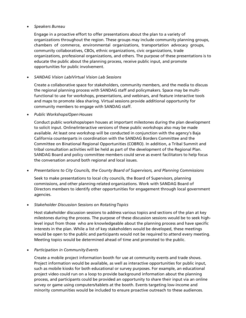#### • *Speakers Bureau*

Engage in a proactive effort to offer presentations about the plan to a variety of organizations throughout the region. These groups may include community planning groups, chambers of commerce, environmental organizations, transportation advocacy groups, community collaboratives, CBOs, ethnic organizations, civic organizations, trade organizations, professional organizations, and others. The purpose of these presentations is to educate the public about the planning process, receive public input, and promote opportunities for public involvement.

#### • *SANDAG Vision Lab/Virtual Vision Lab Sessions*

Create a collaborative space for stakeholders, community members, and the media to discuss the regional planning process with SANDAG staff and policymakers. Space may be multifunctional to use for workshops, presentations, and webinars, and feature interactive tools and maps to promote idea sharing. Virtual sessions provide additional opportunity for community members to engage with SANDAG staff.

• *Public Workshops/Open Houses*

Conduct public workshops/open houses at important milestones during the plan development to solicit input. Online/interactive versions of these public workshops also may be made available. At least one workshop will be conducted in conjunction with the agency's Baja California counterparts in coordination with the SANDAG Borders Committee and the Committee on Binational Regional Opportunities (COBRO). In addition, a Tribal Summit and tribal consultation activities will be held as part of the development of the Regional Plan. SANDAG Board and policy committee members could serve as event facilitators to help focus the conversation around both regional and local issues.

#### • *Presentations to City Councils, the County Board of Supervisors, and Planning Commissions*

Seek to make presentations to local city councils, the Board of Supervisors, planning commissions, and other planning-related organizations. Work with SANDAG Board of Directors members to identify other opportunities for engagement through local government agencies.

#### • *Stakeholder Discussion Sessions on RotatingTopics*

Host stakeholder discussion sessions to address various topics and sections of the plan at key milestones during the process. The purpose of these discussion sessions would be to seek highlevel input from those who are knowledgeable about the planning process and have specific interests in the plan. While a list of key stakeholders would be developed, these meetings would be open to the public and participants would not be required to attend every meeting. Meeting topics would be determined ahead of time and promoted to the public.

#### • *Participation in Community Events*

Create a mobile project information booth for use at community events and trade shows. Project information would be available, as well as interactive opportunities for public input, such as mobile kiosks for both educational or survey purposes. For example, an educational project video could run on a loop to provide background information about the planning process, and participants could be provided an opportunity to share their input via an online survey or game using computers/tablets at the booth. Events targeting low-income and minority communities would be included to ensure proactive outreach to these audiences.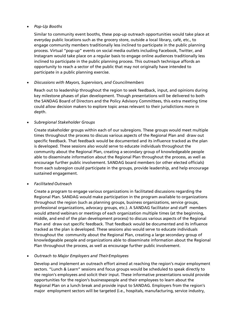#### • *Pop-Up Booths*

Similar to community event booths, these pop-up outreach opportunities would take place at everyday public locations such as the grocery store, outside a local library, café, etc., to engage community members traditionally less inclined to participate in the public planning process. Virtual "pop-up" events on social media outlets including Facebook, Twitter, and Instagram would take place on a regular basis to engage online audiences traditionally less inclined to participate in the public planning process. This outreach technique affords an opportunity to reach a sector of the public that may not originally have intended to participate in a public planning exercise.

#### • *Discussions with Mayors, Supervisors, and Councilmembers*

Reach out to leadership throughout the region to seek feedback, input, and opinions during key milestone phases of plan development. Though presentations will be delivered to both the SANDAG Board of Directors and the Policy Advisory Committees, this extra meeting time could allow decision makers to explore topic areas relevant to their jurisdictions more in depth.

#### • *Subregional Stakeholder Groups*

Create stakeholder groups within each of our subregions. These groups would meet multiple times throughout the process to discuss various aspects of the Regional Plan and draw out specific feedback. That feedback would be documented and its influence tracked as the plan is developed. These sessions also would serve to educate individuals throughout the community about the Regional Plan, creating a secondary group of knowledgeable people able to disseminate information about the Regional Plan throughout the process, as well as encourage further public involvement. SANDAG board members (or other elected officials) from each subregion could participate in the groups, provide leadership, and help encourage sustained engagement.

#### • *Facilitated Outreach*

Create a program to engage various organizations in facilitated discussions regarding the Regional Plan. SANDAG would make participation in the program available to organizations throughout the region (such as planning groups, business organizations, service groups, professional organizations, advocacy groups, etc.). A SANDAG facilitator and staff members would attend webinars or meetings of each organization multiple times (at the beginning, middle, and end of the plan development process) to discuss various aspects of the Regional Plan and draw out specific feedback. That feedback would be documented and its influence tracked as the plan is developed. These sessions also would serve to educate individuals throughout the community about the Regional Plan, creating a large secondary group of knowledgeable people and organizations able to disseminate information about the Regional Plan throughout the process, as well as encourage further public involvement.

• *Outreach to Major Employers and TheirEmployees*

Develop and implement an outreach effort aimed at reaching the region's major employment sectors. "Lunch & Learn" sessions and focus groups would be scheduled to speak directly to the region's employees and solicit their input. These informative presentations would provide opportunities for the region's businesspeople and their employees to learn about the Regional Plan on a lunch break and provide input to SANDAG. Employers from the region's major employment sectors will be targeted (i.e., hospitals, manufacturing, service industry,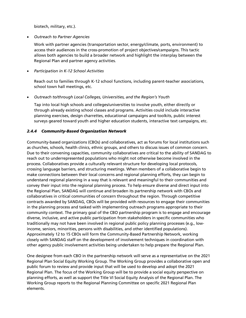biotech, military, etc.).

• *Outreach to Partner Agencies*

Work with partner agencies (transportation sector, energy/climate, ports, environment) to access their audiences in the cross-promotion of project objectives/campaigns. This tactic allows both agencies to build a broader network and highlight the interplay between the Regional Plan and partner agency activities.

• *Participation in K-12 School Activities* 

Reach out to families through K-12 school functions, including parent-teacher associations, school town hall meetings, etc.

• *Outreach to/through Local Colleges, Universities, and the Region's Youth*

Tap into local high schools and colleges/universities to involve youth, either directly or through already existing school classes and programs. Activities could include interactive planning exercises, design charrettes, educational campaigns and toolkits, public interest surveys geared toward youth and higher education students, interactive text campaigns, etc.

## <span id="page-10-0"></span>*2.4.4 Community-Based Organization Network*

Community-based organizations (CBOs) and collaboratives, act as forums for local institutions such as churches, schools, health clinics, ethnic groups, and others to discuss issues of common concern. Due to their convening capacities, community collaboratives are critical to the ability of SANDAG to reach out to underrepresented populations who might not otherwise become involved in the process. Collaboratives provide a culturally relevant structure for developing local protocols, crossing language barriers, and structuring meetings. When members of a collaborative begin to make connections between their local concerns and regional planning efforts, they can begin to understand regional planning in a way that is relevant and meaningful to their communities and convey their input into the regional planning process. To help ensure diverse and direct input into the Regional Plan, SANDAG will continue and broaden its partnership network with CBOs and collaboratives in critical communities of concern throughout the region. Through competitive contracts awarded by SANDAG, CBOs will be provided with resources to engage their communities in the planning process and tasked with implementing outreach programs appropriate to their community context. The primary goal of the CBO partnership program is to engage and encourage diverse, inclusive, and active public participation from stakeholders in specific communities who traditionally may not have been involved in regional public policy planning processes (e.g., lowincome, seniors, minorities, persons with disabilities, and other identified populations). Approximately 12 to 15 CBOs will form the Community-Based Partnership Network, working closely with SANDAG staff on the development of involvement techniques in coordination with other agency public involvement activities being undertaken to help prepare the Regional Plan.

One designee from each CBO in the partnership network will serve as a representative on the 2021 Regional Plan Social Equity Working Group. The Working Group provides a collaborative open and public forum to review and provide input that will be used to develop and adopt the 2021 Regional Plan. The focus of the Working Group will be to provide a social equity perspective on planning efforts, as well as support the Title VI Social Equity Analysis of the Regional Plan. The Working Group reports to the Regional Planning Committee on specific 2021 Regional Plan elements.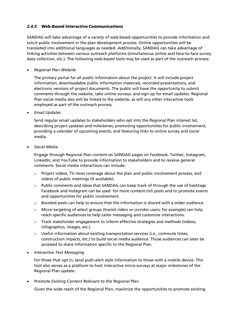#### <span id="page-11-0"></span>*2.4.5 Web-Based InteractiveCommunications*

SANDAG will take advantage of a variety of web-based opportunities to provide information and solicit public involvement in the plan development process. Online opportunities will be translated into additional languages as needed. Additionally, SANDAG can take advantage of linking activities between various outreach platforms (simultaneous online and face-to-face survey data collection, etc.). The following web-based tools may be used as part of the outreach process:

• *Regional Plan Website*

The primary portal for all public information about the project. It will include project information, downloadable public information materials, recorded presentations, and electronic versions of project documents. The public will have the opportunity to submit comments through the website, take online surveys, and sign up for email updates. Regional Plan social media also will be linked to the website, as will any other interactive tools employed as part of the outreach process.

• *Email Updates*

Send regular email updates to stakeholders who opt into the Regional Plan interest list, describing project updates and milestones, promoting opportunities for public involvement, providing a calendar of upcoming events, and featuring links to online survey and social media.

• *Social Media*

Engage through Regional Plan content on SANDAG pages on Facebook, Twitter, Instagram, LinkedIn, and YouTube to provide information to stakeholders and to receive general comments. Social media interactions can include:

- $\circ$  Project videos, TV news coverage about the plan and public involvement process, and videos of public meetings (if available).
- o Public comments and ideas that SANDAG can keep track of through the use of hashtags. Facebook and Instagram can be used for more content-rich posts and to promote events and opportunities for public involvement.
- $\circ$  Boosted posts can help to ensure that the information is shared with a wider audience.
- o Micro-targeting of select groups (transit riders or corridor users, for example) can help reach specific audiences to help tailor messaging and customize interactions.
- $\circ$  Track stakeholder engagement to inform effective strategies and methods (videos, infographics, images, etc.).
- $\circ$  Useful information about existing transportation services (i.e., commute times, construction impacts, etc.) to build social media audience. Those audiences can later be accessed to share information specific to the Regional Plan.
- *Interactive Text Messaging*

For those that opt in, send push-alert style information to those with a mobile device. This tool also serves as a platform to host interactive micro-surveys at major milestones of the Regional Plan update.

• *Promote Existing Content Relevant to the Regional Plan*

Given the wide reach of the Regional Plan, maximize the opportunities to promote existing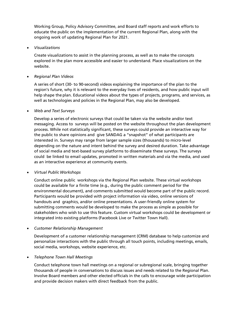Working Group, Policy Advisory Committee, and Board staff reports and work efforts to educate the public on the implementation of the current Regional Plan, along with the ongoing work of updating Regional Plan for 2021.

#### • *Visualizations*

Create visualizations to assist in the planning process, as well as to make the concepts explored in the plan more accessible and easier to understand. Place visualizations on the website.

#### • *Regional Plan Videos*

A series of short (30- to 90-second) videos explaining the importance of the plan to the region's future, why it is relevant to the everyday lives of residents, and how public input will help shape the plan. Educational videos about the types of projects, programs, and services, as well as technologies and policies in the Regional Plan, may also be developed.

#### • *Web and Text Surveys*

Develop a series of electronic surveys that could be taken via the website and/or text messaging. Access to surveys will be posted on the website throughout the plan development process. While not statistically significant, these surveys could provide an interactive way for the public to share opinions and give SANDAG a "snapshot" of what participants are interested in. Surveys may range from larger sample sizes (thousands) to micro-level depending on the nature and intent behind the survey and desired duration. Take advantage of social media and text-based survey platforms to disseminate these surveys. The surveys could be linked to email updates, promoted in written materials and via the media, and used as an interactive experience at community events.

#### • *Virtual Public Workshops*

Conduct online public workshops via the Regional Plan website. These virtual workshops could be available for a finite time (e.g., during the public comment period for the environmental document), and comments submitted would become part of the public record. Participants would be provided with project information via video, online versions of handouts and graphics, and/or online presentations. A user-friendly online system for submitting comments would be developed to make the process as simple as possible for stakeholders who wish to use this feature. Custom virtual workshops could be development or integrated into existing platforms (Facebook Live or Twitter Town Hall).

#### • *Customer Relationship Management*

Development of a customer relationship management (CRM) database to help customize and personalize interactions with the public through all touch points, including meetings, emails, social media, workshops, website experience, etc.

#### • *Telephone Town Hall Meetings*

Conduct telephone town hall meetings on a regional or subregional scale, bringing together thousands of people in conversations to discuss issues and needs related to the Regional Plan. Involve Board members and other elected officials in the calls to encourage wide participation and provide decision makers with direct feedback from the public.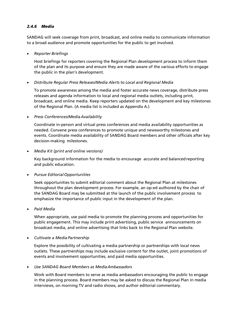#### <span id="page-13-0"></span>*2.4.6 Media*

SANDAG will seek coverage from print, broadcast, and online media to communicate information to a broad audience and promote opportunities for the public to get involved.

• *Reporter Briefings*

Host briefings for reporters covering the Regional Plan development process to inform them of the plan and its purpose and ensure they are made aware of the various efforts to engage the public in the plan's development.

• *Distribute Regular Press Releases/Media Alerts to Local and Regional Media*

To promote awareness among the media and foster accurate news coverage, distribute press releases and agenda information to local and regional media outlets, including print, broadcast, and online media. Keep reporters updated on the development and key milestones of the Regional Plan. (A media list is included as Appendix A.)

• *Press Conferences/MediaAvailability*

Coordinate in-person and virtual press conferences and media availability opportunities as needed. Convene press conferences to promote unique and newsworthy milestones and events. Coordinate media availability of SANDAG Board members and other officials after key decision-making milestones.

• *Media Kit (print and online versions)*

Key background information for the media to encourage accurate and balancedreporting and public education.

• *Pursue EditorialOpportunities*

Seek opportunities to submit editorial comment about the Regional Plan at milestones throughout the plan development process. For example, an op-ed authored by the chair of the SANDAG Board may be submitted at the launch of the public involvement process to emphasize the importance of public input in the development of the plan.

• *Paid Media*

When appropriate, use paid media to promote the planning process and opportunities for public engagement. This may include print advertising, public service announcements on broadcast media, and online advertising that links back to the Regional Plan website.

• *Cultivate a Media Partnership*

Explore the possibility of cultivating a media partnership or partnerships with local news outlets. These partnerships may include exclusive content for the outlet, joint promotions of events and involvement opportunities, and paid media opportunities.

• *Use SANDAG Board Members as MediaAmbassadors*

Work with Board members to serve as media ambassadors encouraging the public to engage in the planning process. Board members may be asked to discuss the Regional Plan in media interviews, on morning TV and radio shows, and author editorial commentary.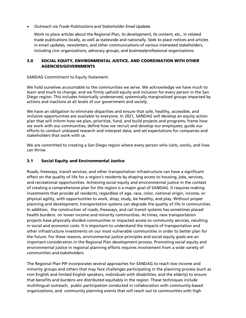#### • *Outreach via Trade Publications and Stakeholder Email Updates*

Work to place articles about the Regional Plan, its development, its content, etc., in related trade publications locally, as well as statewide and nationally. Seek to place notices and articles in email updates, newsletters, and other communications of various interested stakeholders, including civic organizations, advocacy groups, and business/professional organizations.

#### <span id="page-14-0"></span>3.0 SOCIAL EQUITY, ENVIRONMENTAL JUSTICE, AND COORDINATION WITH OTHER AGENCIES/GOVERNMENTS

#### SANDAG Commitment to Equity Statement:

We hold ourselves accountable to the communities we serve. We acknowledge we have much to learn and much to change; and we firmly uphold equity and inclusion for every person in the San Diego region. This includes historically underserved, systemically marginalized groups impacted by actions and inactions at all levels of our government and society.

We have an obligation to eliminate disparities and ensure that safe, healthy, accessible, and inclusive opportunities are available to everyone. In 2021, SANDAG will develop an equity action plan that will inform how we plan, prioritize, fund, and build projects and programs; frame how we work with our communities; define how we recruit and develop our employees; guide our efforts to conduct unbiased research and interpret data; and set expectations for companies and stakeholders that work with us.

We are committed to creating a San Diego region where every person who visits, works, and lives can thrive.

#### <span id="page-14-1"></span>3.1 Social Equity and Environmental Justice

Roads, freeways, transit services, and other transportation infrastructure can have a significant effect on the quality of life for a region's residents by shaping access to housing, jobs, services, and recreational opportunities. Achieving social equity and environmental justice in the context of creating a comprehensive plan for the region is a major goal of SANDAG. It requires making investments that provide all residents, regardless of age, race, color, national origin, income, or physical agility, with opportunities to work, shop, study, be healthy, and play. Without proper planning and development, transportation systems can degrade the quality of life in communities. In addition, the construction of roads, freeways, and rail transit systems has sometimes placed health burdens on lower-income and minority communities. At times, new transportation projects have physically divided communities or impacted access to community services, resulting in social and economic costs. It is important to understand the impacts of transportation and other infrastructure investments on our most vulnerable communities in order to better plan for the future. For these reasons, environmental justice principles and social equity goals are an important consideration in the Regional Plan development process. Promoting social equity and environmental justice in regional planning efforts requires involvement from a wide variety of communities and stakeholders.

The Regional Plan PIP incorporates several approaches for SANDAG to reach low-income and minority groups and others that may face challenges participating in the planning process (such as non-English and limited English speakers, individuals with disabilities, and the elderly) to ensure that benefits and burdens are distributed equitably in the region. These techniques include multilingual outreach, public participation conducted in collaboration with community-based organizations, and community planning events that will reach out to communities with high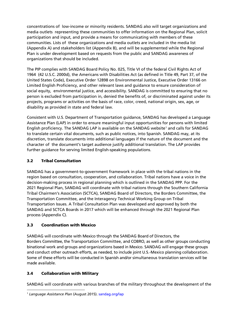concentrations of low-income or minority residents. SANDAG also will target organizations and media outlets representing these communities to offer information on the Regional Plan, solicit participation and input, and provide a means for communicating with members of these communities. Lists of these organizations and media outlets are included in the media list (Appendix A) and stakeholders list (Appendix B), and will be supplemented while the Regional Plan is under development based on requests from the public and SANDAG awareness of organizations that should be included.

The PIP complies with SANDAG Board Policy No. 025, Title VI of the federal Civil Rights Act of 1964 (42 U.S.C. 2000d), the Americans with Disabilities Act (as defined in Title 49, Part 37, of the United States Code), Executive Order 12898 on Environmental Justice, Executive Order 13166 on Limited English Proficiency, and other relevant laws and guidance to ensure consideration of social equity, environmental justice, and accessibility. SANDAG is committed to ensuring that no person is excluded from participation in, denied the benefits of, or discriminated against under its projects, programs or activities on the basis of race, color, creed, national origin, sex, age, or disability as provided in state and federal law.

Consistent with U.S. Department of Transportation guidance, SANDAG has developed a Language Assistance Plan (LAP) in order to ensure meaningful input opportunities for persons with limited English proficiency. The SANDAG LAP is available on the SANDAG website<sup>[1](#page-15-3)</sup> and calls for SANDAG to translate certain vital documents, such as public notices, into Spanish. SANDAG may, at its discretion, translate documents into additional languages if the nature of the document and the character of the document's target audience justify additional translation. The LAP provides further guidance for serving limited English-speaking populations.

## <span id="page-15-0"></span>3.2 Tribal Consultation

SANDAG has a government-to-government framework in place with the tribal nations in the region based on consultation, cooperation, and collaboration. Tribal nations have a voice in the decision-making process in regional planning which is outlined in the SANDAG PPP. For the 2021 Regional Plan, SANDAG will coordinate with tribal nations through the Southern California Tribal Chairmen's Association (SCTCA), SANDAG Board of Directors, the Borders Committee, the Transportation Committee, and the Interagency Technical Working Group on Tribal Transportation Issues. A Tribal Consultation Plan was developed and approved by both the SANDAG and SCTCA Boards in 2017 which will be enhanced through the 2021 Regional Plan process (Appendix C).

## <span id="page-15-1"></span>3.3 Coordination with Mexico

SANDAG will coordinate with Mexico through the SANDAG Board of Directors, the Borders Committee, the Transportation Committee, and COBRO, as well as other groups conducting binational work and groups and organizations based in Mexico. SANDAG will engage these groups and conduct other outreach efforts, as needed, to include joint U.S.-Mexico planning collaboration. Some of these efforts will be conducted in Spanish and/or simultaneous translation services will be made available.

## <span id="page-15-2"></span>3.4 Collaboration with Military

SANDAG will coordinate with various branches of the military throughout the development of the

<span id="page-15-3"></span><sup>1</sup> *Language Assistance Plan* (August 2015)[. sandag.org/lap](http://www.sandag.org/uploads/publicationid/publicationid_1659_14384.pdf)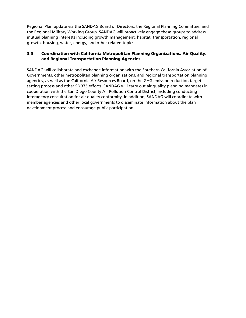Regional Plan update via the SANDAG Board of Directors, the Regional Planning Committee, and the Regional Military Working Group. SANDAG will proactively engage these groups to address mutual planning interests including growth management, habitat, transportation, regional growth, housing, water, energy, and other related topics.

## <span id="page-16-0"></span>3.5 Coordination with California Metropolitan Planning Organizations, Air Quality, and Regional Transportation Planning Agencies

SANDAG will collaborate and exchange information with the Southern California Association of Governments, other metropolitan planning organizations, and regional transportation planning agencies, as well as the California Air Resources Board, on the GHG emission reduction targetsetting process and other SB 375 efforts. SANDAG will carry out air quality planning mandates in cooperation with the San Diego County Air Pollution Control District, including conducting interagency consultation for air quality conformity. In addition, SANDAG will coordinate with member agencies and other local governments to disseminate information about the plan development process and encourage public participation.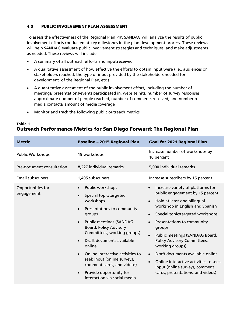#### <span id="page-17-0"></span>4.0 PUBLIC INVOLVEMENT PLAN ASSESSMENT

To assess the effectiveness of the Regional Plan PIP, SANDAG will analyze the results of public involvement efforts conducted at key milestones in the plan development process. These reviews will help SANDAG evaluate public involvement strategies and techniques, and make adjustments as needed. These reviews will include:

- A summary of all outreach efforts and inputreceived
- A qualitative assessment of how effective the efforts to obtain input were (i.e., audiences or stakeholders reached, the type of input provided by the stakeholders needed for development of the Regional Plan, etc.)
- A quantitative assessment of the public involvement effort, including the number of meetings/ presentations/events participated in, website hits, number of survey responses, approximate number of people reached, number of comments received, and number of media contacts/ amount of media coverage
- Monitor and track the following public outreach metrics

## Table 1 Outreach Performance Metrics for San Diego Forward: The Regional Plan

| <b>Metric</b>                   | <b>Baseline - 2015 Regional Plan</b>                                                                                                                                                                                                                                                                                                                                                                                     | <b>Goal for 2021 Regional Plan</b>                                                                                                                                                                                                                                                                                                                                                                                                                                                                             |  |
|---------------------------------|--------------------------------------------------------------------------------------------------------------------------------------------------------------------------------------------------------------------------------------------------------------------------------------------------------------------------------------------------------------------------------------------------------------------------|----------------------------------------------------------------------------------------------------------------------------------------------------------------------------------------------------------------------------------------------------------------------------------------------------------------------------------------------------------------------------------------------------------------------------------------------------------------------------------------------------------------|--|
| <b>Public Workshops</b>         | 19 workshops                                                                                                                                                                                                                                                                                                                                                                                                             | Increase number of workshops by<br>10 percent                                                                                                                                                                                                                                                                                                                                                                                                                                                                  |  |
| Pre-document consultation       | 8,227 individual remarks                                                                                                                                                                                                                                                                                                                                                                                                 | 5,000 individual remarks                                                                                                                                                                                                                                                                                                                                                                                                                                                                                       |  |
| <b>Email subscribers</b>        | 1,405 subscribers                                                                                                                                                                                                                                                                                                                                                                                                        | Increase subscribers by 15 percent                                                                                                                                                                                                                                                                                                                                                                                                                                                                             |  |
| Opportunities for<br>engagement | <b>Public workshops</b><br>Special topic/targeted<br>workshops<br>Presentations to community<br>groups<br><b>Public meetings (SANDAG</b><br>$\bullet$<br><b>Board, Policy Advisory</b><br>Committees, working groups)<br>Draft documents available<br>online<br>Online interactive activities to<br>seek input (online surveys,<br>comment cards, and videos)<br>Provide opportunity for<br>interaction via social media | Increase variety of platforms for<br>public engagement by 15 percent<br>Hold at least one bilingual<br>workshop in English and Spanish<br>Special topic/targeted workshops<br>$\bullet$<br>Presentations to community<br>$\bullet$<br>groups<br>Public meetings (SANDAG Board,<br>$\bullet$<br>Policy Advisory Committees,<br>working groups)<br>Draft documents available online<br>$\bullet$<br>Online interactive activities to seek<br>input (online surveys, comment<br>cards, presentations, and videos) |  |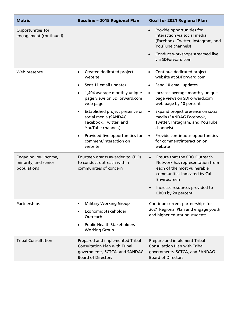| <b>Metric</b>                                               | <b>Baseline - 2015 Regional Plan</b>                                                                                                                                                                                                                                                                                                                              | <b>Goal for 2021 Regional Plan</b>                                                                                                                                                                                                                                                                                                                                                                                           |
|-------------------------------------------------------------|-------------------------------------------------------------------------------------------------------------------------------------------------------------------------------------------------------------------------------------------------------------------------------------------------------------------------------------------------------------------|------------------------------------------------------------------------------------------------------------------------------------------------------------------------------------------------------------------------------------------------------------------------------------------------------------------------------------------------------------------------------------------------------------------------------|
| Opportunities for<br>engagement (continued)                 |                                                                                                                                                                                                                                                                                                                                                                   | Provide opportunities for<br>$\bullet$<br>interaction via social media<br>(Facebook, Twitter, Instagram, and<br>YouTube channels)<br>Conduct workshops streamed live<br>$\bullet$<br>via SDForward.com                                                                                                                                                                                                                       |
| Web presence                                                | Created dedicated project<br>$\bullet$<br>website<br>Sent 11 email updates<br>1,404 average monthly unique<br>$\bullet$<br>page views on SDForward.com<br>web page<br>Established project presence on<br>$\bullet$<br>social media (SANDAG<br>Facebook, Twitter, and<br>YouTube channels)<br>Provided five opportunities for<br>comment/interaction on<br>website | Continue dedicated project<br>website at SDForward.com<br>Send 10 email updates<br>$\bullet$<br>Increase average monthly unique<br>$\bullet$<br>page views on SDForward.com<br>web page by 10 percent<br>Expand project presence on social<br>$\bullet$<br>media (SANDAG Facebook,<br>Twitter, Instagram, and YouTube<br>channels)<br>Provide continuous opportunities<br>$\bullet$<br>for comment/interaction on<br>website |
| Engaging low income,<br>minority, and senior<br>populations | Fourteen grants awarded to CBOs<br>to conduct outreach within<br>communities of concern                                                                                                                                                                                                                                                                           | Ensure that the CBO Outreach<br>$\bullet$<br>Network has representation from<br>each of the most vulnerable<br>communities indicated by Cal<br>Enviroscreen<br>Increase resources provided to<br>$\bullet$<br>CBOs by 20 percent                                                                                                                                                                                             |
| Partnerships                                                | <b>Military Working Group</b><br>Economic Stakeholder<br>Outreach<br><b>Public Health Stakeholders</b><br><b>Working Group</b>                                                                                                                                                                                                                                    | Continue current partnerships for<br>2021 Regional Plan and engage youth<br>and higher education students                                                                                                                                                                                                                                                                                                                    |
| <b>Tribal Consultation</b>                                  | Prepared and implemented Tribal<br><b>Consultation Plan with Tribal</b><br>governments, SCTCA, and SANDAG<br><b>Board of Directors</b>                                                                                                                                                                                                                            | Prepare and implement Tribal<br><b>Consultation Plan with Tribal</b><br>governments, SCTCA, and SANDAG<br><b>Board of Directors</b>                                                                                                                                                                                                                                                                                          |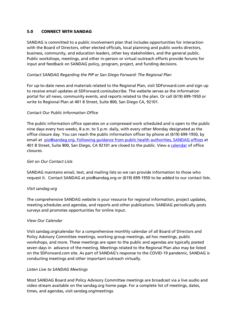#### <span id="page-19-0"></span>5.0 CONNECT WITH SANDAG

SANDAG is committed to a public involvement plan that includes opportunities for interaction with the Board of Directors, other elected officials, local planning and public works directors, business, community, and education leaders, other key stakeholders, and the general public. Public workshops, meetings, and other in-person or virtual outreach efforts provide forums for input and feedback on SANDAG policy, program, project, and funding decisions.

#### *Contact SANDAG Regarding the PIP or San Diego Forward: The Regional Plan*

For up-to-date news and materials related to the Regional Plan, visit SDForward.com and sign up to receive email updates at SDForward.com/subscribe. The website serves as the information portal for all news, community events, and reports related to the plan. Or call (619) 699-1950 or write to Regional Plan at 401 B Street, Suite 800, San Diego CA, 92101.

## *Contact Our Public Information Office*

The public information office operates on a compressed work scheduled and is open to the public nine days every two weeks, 8 a.m. to 5 p.m. daily, with every other Monday designated as the office closure day. You can reach the public information officer by phone at (619) 699-1950, by email at [pio@sandag.org. Following guidance from public health authorities, SANDAG offices](mailto:pio@sandag.org.%20Following%20guidance%20from%20public%20health%20authorities,%20To%20protect%20the%20health%20and%20safety%20of%20staff%20and%20the%20public,%20SANDAG%20offices) at 401 B Street, Suite 800, San Diego, CA 92101 are closed to the public. View a [calendar](https://www.sandag.org/organization/about/pubs/SANDAG-office-closure-schedule.pdf) of office closures.

#### *Get on Our Contact Lists*

SANDAG maintains email, text, and mailing lists so we can provide information to those who request it. Contact SANDAG at [pio@sandag.org](mailto:pio@sandag.org) or (619) 699-1950 to be added to our contact lists.

#### *Visit sandag.org*

The comprehensive SANDAG website is your resource for regional information, project updates, meeting schedules and agendas, and reports and other publications. SANDAG periodically posts surveys and promotes opportunities for online input.

#### *View Our Calendar*

Visit sandag.org/calendar for a comprehensive monthly calendar of all Board of Directors and Policy Advisory Committee meetings, working group meetings, ad hoc meetings, public workshops, and more. These meetings are open to the public and agendas are typically posted seven days in advance of the meeting. Meetings related to the Regional Plan also may be listed on the SDForward.com site. As part of SANDAG's response to the COVID-19 pandemic, SANDAG is conducting meetings and other important outreach virtually.

#### *Listen Live to SANDAG Meetings*

Most SANDAG Board and Policy Advisory Committee meetings are broadcast via a live audio and video stream available on the sandag.org home page. For a complete list of meetings, dates, times, and agendas, visit sandag.org/meetings.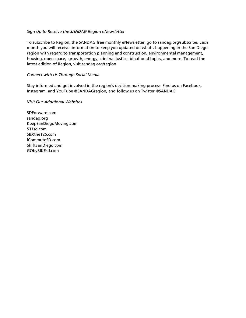#### *Sign Up to Receive the SANDAG Region eNewsletter*

To subscribe to Region, the SANDAG free monthly eNewsletter, go to sandag.org/subscribe. Each month you will receive information to keep you updated on what's happening in the San Diego region with regard to transportation planning and construction, environmental management, housing, open space, growth, energy, criminal justice, binational topics, and more. To read the latest edition of Region, visit sandag.org/region.

#### *Connect with Us Through Social Media*

Stay informed and get involved in the region's decision-making process. Find us on Facebook, Instagram, and YouTube @SANDAGregion, and follow us on Twitter @SANDAG.

#### *Visit Our Additional Websites*

SDForward.com sandag.org KeepSanDiegoMoving.com 511sd.com SBXthe125.com iCommuteSD.com ShiftSanDiego.com GObyBIKEsd.com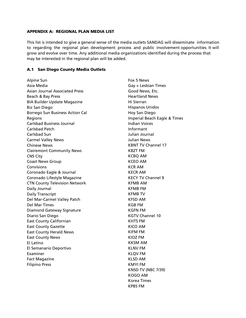#### <span id="page-21-0"></span>APPENDIX A: REGIONAL PLAN MEDIA LIST

This list is intended to give a general sense of the media outlets SANDAG will disseminate information to regarding the regional plan development process and public involvement opportunities. It will grow and evolve over time. Any additional media organizations identified during the process that may be interested in the regional plan will be added.

#### <span id="page-21-1"></span>A.1 San Diego County Media Outlets

Alpine Sun Asia Media Asian Journal Associated Press Beach & Bay Press BIA Builder Update Magazine Biz San Diego Borrego Sun Business Action Cal Regions Carlsbad Business Journal Carlsbad Patch Carlsbad Sun Carmel Valley News Chinese News Clairemont Community News CNS City Coast News Group **Convisions** Coronado Eagle & Journal Coronado Lifestyle Magazine CTN County Television Network Daily Journal Daily Transcript Del Mar-Carmel Valley Patch Del Mar Times Diamond Gateway Signature Diario San Diego East County Californian East County Gazette East County Herald News East County News El Latino El Semanario Deportivo Examiner Fact Magazine Filipino Press

Fox 5 News Gay + Lesbian Times Good News, Etc. Heartland News Hi Sierran Hispanos Unidos Hoy San Diego Imperial Beach Eagle & Times Indian Voices Informant Julian Journal Julian News KBNT TV Channel 17 KBZT FM KCBQ AM KCEO AM KCR AM KECR AM KECY TV Channel 9 KFMB AM KFMB FM KFMB TV KFSD AM KGB FM KGFN FM KGTV Channel 10 KHTS FM KICO AM KIFM FM KIOZ FM KKSM AM KLNV FM KLQV FM KLSD AM KMYI FM KNSD TV (NBC 7/39) KOGO AM Korea Times KPBS FM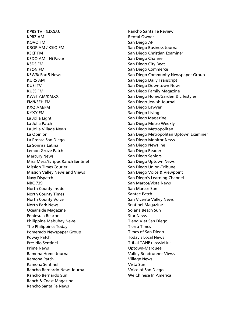KPBS TV - S.D.S.U. KPRZ AM KQVO FM KROP AM / KSIQ FM KSCF FM KSDO AM - Hi Favor KSDS FM KSON FM KSWB/ Fox 5 News KURS AM KUSI TV KUSS FM KWST AM/KMXX FM/KSEH FM KXO AM/FM KYXY FM La Jolla Light La Jolla Patch La Jolla Village News La Opinion La Prensa San Diego La Sonrisa Latina Lemon Grove Patch Mercury News Mira Mesa/Scripps Ranch Sentinel Mission Times Courier Mission Valley News and Views Navy Dispatch NBC 739 North County Insider North County Times North County Voice North Park News Oceanside Magazine Peninsula Beacon Philippine Mabuhay News The Philippines Today Pomerado Newspaper Group Poway Patch Presidio Sentinel Prime News Ramona Home Journal Ramona Patch Ramona Sentinel Rancho Bernardo News Journal Rancho Bernardo Sun Ranch & Coast Magazine Rancho Santa Fe News

Rancho Santa Fe Review Rental Owner San Diego AP San Diego Business Journal San Diego Christian Examiner San Diego Channel San Diego City Beat San Diego Commerce San Diego Community Newspaper Group San Diego Daily Transcript San Diego Downtown News San Diego Family Magazine San Diego Home/Garden & Lifestyles San Diego Jewish Journal San Diego Lawyer San Diego Living San Diego Magazine San Diego Metro Weekly San Diego Metropolitan San Diego Metropolitan Uptown Examiner San Diego Monitor News San Diego Newsline San Diego Reader San Diego Seniors San Diego Uptown News San Diego Union-Tribune San Diego Voice & Viewpoint San Diego's Learning Channel San Marcos/Vista News San Marcos Sun Santee Patch San Vicente Valley News Sentinel Magazine Solana Beach Sun Star News Tieng Viet San Diego Tierra Times Times of San Diego Today's Local News Tribal TANF newsletter Uptown-Marquee Valley Roadrunner Views Village News Vista Sun Voice of San Diego We Chinese In America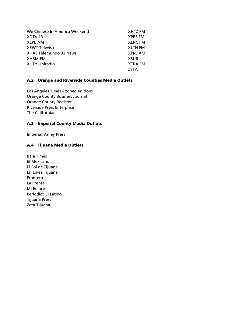| We Chinese In America Weekend | <b>XHTZ FM</b> |
|-------------------------------|----------------|
| XDTV <sub>13</sub>            | <b>XPRS FM</b> |
| <b>XEPE AM</b>                | <b>XLNC FM</b> |
| <b>XEWT Televisa</b>          | <b>XLTN FM</b> |
| <b>XHAS Telemundo 33 News</b> | <b>XPRS AM</b> |
| <b>XHRM FM</b>                | <b>XSUR</b>    |
| <b>XHTY Uniradio</b>          | <b>XTRA FM</b> |
|                               | <b>ZETA</b>    |

## <span id="page-23-0"></span>A.2 Orange and Riverside Counties Media Outlets

Los Angeles Times – zoned editions Orange County Business Journal Orange County Register Riverside Press Enterprise The Californian

#### <span id="page-23-1"></span>A.3 Imperial County Media Outlets

Imperial Valley Press

#### <span id="page-23-2"></span>A.4 Tijuana Media Outlets

Baja Times El Mexicano El Sol de Tijuana En Linea Tijuana Frontera La Prensa Mi Enlace Periodico El Latino Tijuana Press Zeta Tijuana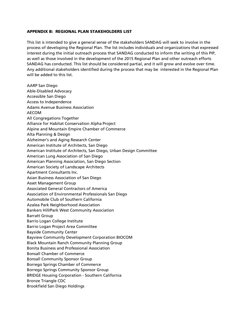#### <span id="page-24-0"></span>APPENDIX B: REGIONAL PLAN STAKEHOLDERS LIST

This list is intended to give a general sense of the stakeholders SANDAG will seek to involve in the process of developing the Regional Plan. The list includes individuals and organizations that expressed interest during the initial outreach process that SANDAG conducted to inform the writing of this PIP, as well as those involved in the development of the 2015 Regional Plan and other outreach efforts SANDAG has conducted. This list should be considered partial, and it will grow and evolve over time. Any additional stakeholders identified during the process that may be interested in the Regional Plan will be added to this list.

AARP San Diego Able-Disabled Advocacy Accessible San Diego Access to Independence Adams Avenue Business Association AECOM All Congregations Together Alliance for Habitat Conservation Alpha Project Alpine and Mountain Empire Chamber of Commerce Alta Planning & Design Alzheimer's and Aging Research Center American Institute of Architects, San Diego American Institute of Architects, San Diego, Urban Design Committee American Lung Association of San Diego American Planning Association, San Diego Section American Society of Landscape Architects Apartment Consultants Inc. Asian Business Association of San Diego Asset Management Group Associated General Contractors of America Association of Environmental Professionals San Diego Automobile Club of Southern California Azalea Park Neighborhood Association Bankers Hill/Park West Community Association Barratt Group Barrio Logan College Institute Barrio Logan Project Area Committee Bayside Community Center Bayview Community Development Corporation BIOCOM Black Mountain Ranch Community Planning Group Bonita Business and Professional Association Bonsall Chamber of Commerce Bonsall Community Sponsor Group Borrego Springs Chamber of Commerce Borrego Springs Community Sponsor Group BRIDGE Housing Corporation - Southern California Bronze Triangle CDC Brookfield San Diego Holdings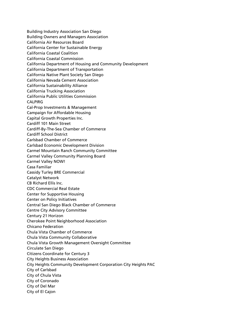Building Industry Association San Diego Building Owners and Managers Association California Air Resources Board California Center for Sustainable Energy California Coastal Coalition California Coastal Commission California Department of Housing and Community Development California Department of Transportation California Native Plant Society San Diego California Nevada Cement Association California Sustainability Alliance California Trucking Association California Public Utilities Commission **CALPIRG** Cal-Prop Investments & Management Campaign for Affordable Housing Capital Growth Properties Inc. Cardiff 101 Main Street Cardiff-By-The-Sea Chamber of Commerce Cardiff School District Carlsbad Chamber of Commerce Carlsbad Economic Development Division Carmel Mountain Ranch Community Committee Carmel Valley Community Planning Board Carmel Valley NOW! Casa Familiar Cassidy Turley BRE Commercial Catalyst Network CB Richard Ellis Inc. CDC Commercial Real Estate Center for Supportive Housing Center on Policy Initiatives Central San Diego Black Chamber of Commerce Centre City Advisory Committee Century 21 Horizon Cherokee Point Neighborhood Association Chicano Federation Chula Vista Chamber of Commerce Chula Vista Community Collaborative Chula Vista Growth Management Oversight Committee Circulate San Diego Citizens Coordinate for Century 3 City Heights Business Association City Heights Community Development Corporation City Heights PAC City of Carlsbad City of Chula Vista City of Coronado City of Del Mar City of El Cajon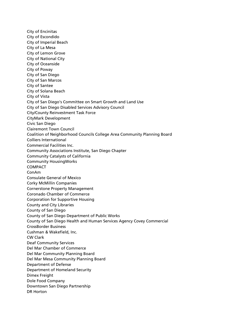City of Encinitas City of Escondido City of Imperial Beach City of La Mesa City of Lemon Grove City of National City City of Oceanside City of Poway City of San Diego City of San Marcos City of Santee City of Solana Beach City of Vista City of San Diego's Committee on Smart Growth and Land Use City of San Diego Disabled Services Advisory Council City/County Reinvestment Task Force CityMark Development Civic San Diego Clairemont Town Council Coalition of Neighborhood Councils College Area Community Planning Board Colliers International Commercial Facilities Inc. Community Associations Institute, San Diego Chapter Community Catalysts of California Community HousingWorks **COMPACT** ConAm Consulate General of Mexico Corky McMillin Companies Cornerstone Property Management Coronado Chamber of Commerce Corporation for Supportive Housing County and City Libraries County of San Diego County of San Diego Department of Public Works County of San Diego Health and Human Services Agency Covey Commercial CrossBorder Business Cushman & Wakefield, Inc. CW Clark Deaf Community Services Del Mar Chamber of Commerce Del Mar Community Planning Board Del Mar Mesa Community Planning Board Department of Defense Department of Homeland Security Dimex Freight Dole Food Company Downtown San Diego Partnership DR Horton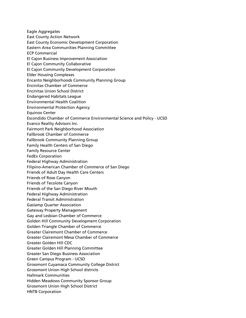Eagle Aggregates East County Action Network East County Economic Development Corporation Eastern Area Communities Planning Committee ECP Commercial El Cajon Business Improvement Association El Cajon Community Collaborative El Cajon Community Development Corporation Elder Housing Complexes Encanto Neighborhoods Community Planning Group Encinitas Chamber of Commerce Encinitas Union School District Endangered Habitats League Environmental Health Coalition Environmental Protection Agency Equinox Center Escondido Chamber of Commerce Environmental Science and Policy - UCSD Evanco Reality Advisors Inc. Fairmont Park Neighborhood Association Fallbrook Chamber of Commerce Fallbrook Community Planning Group Family Health Centers of San Diego Family Resource Center FedEx Corporation Federal Highway Administration Filipino-American Chamber of Commerce of San Diego Friends of Adult Day Health Care Centers Friends of Rose Canyon Friends of Tecolote Canyon Friends of the San Diego River Mouth Federal Highway Administration Federal Transit Administration Gaslamp Quarter Association Gateway Property Management Gay and Lesbian Chamber of Commerce Golden Hill Community Development Corporation Golden Triangle Chamber of Commerce Greater Clairemont Chamber of Commerce Greater Clairemont Mesa Chamber of Commerce Greater Golden Hill CDC Greater Golden Hill Planning Committee Greater San Diego Business Association Green Campus Program - UCSD Grossmont Cuyamaca Community College District Grossmont Union High School districts Hallmark Communities Hidden Meadows Community Sponsor Group Grossmont Union High School District HNTB Corporation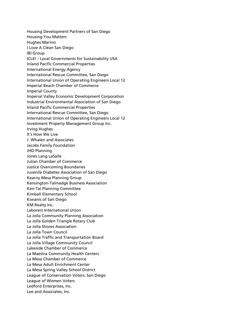Housing Development Partners of San Diego Housing You Matters Hughes Marino I Love A Clean San Diego IBI Group ICLEI – Local Governments for Sustainability USA Inland Pacific Commercial Properties International Energy Agency International Rescue Committee, San Diego International Union of Operating Engineers Local 12 Imperial Beach Chamber of Commerce Imperial County Imperial Valley Economic Development Corporation Industrial Environmental Association of San Diego Inland Pacific Commercial Properties International Rescue Committee, San Diego International Union of Operating Engineers Local 12 Investment Property Management Group Inc. Irving Hughes It's How We Live J. Whalen and Associates Jacobs Family Foundation JHD Planning Jones Lang LaSalle Julian Chamber of Commerce Justice Overcoming Boundaries Juvenile Diabetes Association of San Diego Kearny Mesa Planning Group Kensington-Talmadge Business Association Ken-Tal Planning Committee Kimball Elementary School Kiwanis of San Diego KM Realty Inc. Laborers International Union La Jolla Community Planning Association La Jolla Golden Triangle Rotary Club La Jolla Shores Association La Jolla Town Council La Jolla Traffic and Transportation Board La Jolla Village Community Council Lakeside Chamber of Commerce La Maestra Community Health Centers La Mesa Chamber of Commerce La Mesa Adult Enrichment Center La Mesa Spring Valley School District League of Conservation Voters, San Diego League of Women Voters Ledford Enterprises, Inc. Lee and Associates, Inc.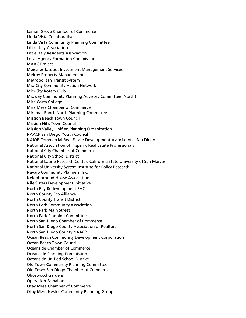Lemon Grove Chamber of Commerce Linda Vista Collaborative Linda Vista Community Planning Committee Little Italy Association Little Italy Residents Association Local Agency Formation Commission MAAC Project Meissner Jacquet Investment Management Services Melroy Property Management Metropolitan Transit System Mid-City Community Action Network Mid-City Rotary Club Midway Community Planning Advisory Committee (North) Mira Costa College Mira Mesa Chamber of Commerce Miramar Ranch North Planning Committee Mission Beach Town Council Mission Hills Town Council Mission Valley Unified Planning Organization NAACP San Diego Youth Council NAIOP Commercial Real Estate Development Association - San Diego National Association of Hispanic Real Estate Professionals National City Chamber of Commerce National City School District National Latino Research Center, California State University of San Marcos National University System Institute for Policy Research Navajo Community Planners, Inc. Neighborhood House Association Nile Sisters Development Initiative North Bay Redevelopment PAC North County Eco Alliance North County Transit District North Park Community Association North Park Main Street North Park Planning Committee North San Diego Chamber of Commerce North San Diego County Association of Realtors North San Diego County NAACP Ocean Beach Community Development Corporation Ocean Beach Town Council Oceanside Chamber of Commerce Oceanside Planning Commission Oceanside Unified School District Old Town Community Planning Committee Old Town San Diego Chamber of Commerce Olivewood Gardens Operation Samahan Otay Mesa Chamber of Commerce Otay Mesa Nestor Community Planning Group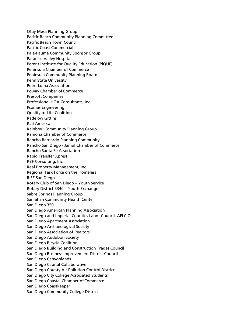Otay Mesa Planning Group Pacific Beach Community Planning Committee Pacific Beach Town Council Pacific Coast Commercial Pala-Pauma Community Sponsor Group Paradise Valley Hospital Parent Institute for Quality Education (PiQUE) Peninsula Chamber of Commerce Peninsula Community Planning Board Penn State University Point Loma Association Poway Chamber of Commerce Prescott Companies Professional HOA Consultants, Inc. Psomas Engineering Quality of Life Coalition Radelow Gittins Rail America Rainbow Community Planning Group Ramona Chamber of Commerce Rancho Bernardo Planning Community Rancho San Diego - Jamul Chamber of Commerce Rancho Santa Fe Association Rapid Transfer Xpress RBF Consulting, Inc. Real Property Management, Inc. Regional Task Force on the Homeless RISE San Diego Rotary Club of San Diego – Youth Service Rotary District 5340 – Youth Exchange Sabre Springs Planning Group Samahan Community Health Center San Diego 350 San Diego American Planning Association San Diego and Imperial Counties Labor Council, AFLCIO San Diego Apartment Association San Diego Archaeological Society San Diego Association of Realtors San Diego Audubon Society San Diego Bicycle Coalition San Diego Building and Construction Trades Council San Diego Business Improvement District Council San Diego Canyonlands San Diego Capital Collaborative San Diego County Air Pollution Control District San Diego City College Associated Students San Diego Coastal Chamber of Commerce San Diego Coastkeeper San Diego Community College District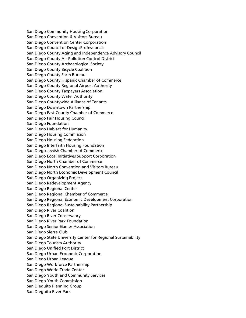San Diego Community HousingCorporation San Diego Convention & Visitors Bureau San Diego Convention Center Corporation San Diego Council of DesignProfessionals San Diego County Aging and Independence Advisory Council San Diego County Air Pollution Control District San Diego County Archaeological Society San Diego County Bicycle Coalition San Diego County Farm Bureau San Diego County Hispanic Chamber of Commerce San Diego County Regional Airport Authority San Diego County Taxpayers Association San Diego County Water Authority San Diego Countywide Alliance of Tenants San Diego Downtown Partnership San Diego East County Chamber of Commerce San Diego Fair Housing Council San Diego Foundation San Diego Habitat for Humanity San Diego Housing Commission San Diego Housing Federation San Diego Interfaith Housing Foundation San Diego Jewish Chamber of Commerce San Diego Local Initiatives Support Corporation San Diego North Chamber of Commerce San Diego North Convention and Visitors Bureau San Diego North Economic Development Council San Diego Organizing Project San Diego Redevelopment Agency San Diego Regional Center San Diego Regional Chamber of Commerce San Diego Regional Economic Development Corporation San Diego Regional Sustainability Partnership San Diego River Coalition San Diego River Conservancy San Diego River Park Foundation San Diego Senior Games Association San Diego Sierra Club San Diego State University Center for Regional Sustainability San Diego Tourism Authority San Diego Unified Port District San Diego Urban Economic Corporation San Diego Urban League San Diego Workforce Partnership San Diego World Trade Center San Diego Youth and Community Services San Diego Youth Commission San Dieguito Planning Group San Dieguito River Park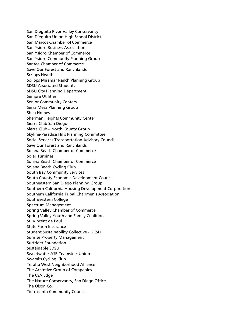San Dieguito River Valley Conservancy San Dieguito Union High School District San Marcos Chamber of Commerce San Ysidro Business Association San Ysidro Chamber of Commerce San Ysidro Community Planning Group Santee Chamber of Commerce Save Our Forest and Ranchlands Scripps Health Scripps Miramar Ranch Planning Group SDSU Associated Students SDSU City Planning Department Sempra Utilities Senior Community Centers Serra Mesa Planning Group Shea Homes Sherman Heights Community Center Sierra Club San Diego Sierra Club – North County Group Skyline-Paradise Hills Planning Committee Social Services Transportation Advisory Council Save Our Forest and Ranchlands Solana Beach Chamber of Commerce Solar Turbines Solana Beach Chamber of Commerce Solana Beach Cycling Club South Bay Community Services South County Economic Development Council Southeastern San Diego Planning Group Southern California Housing Development Corporation Southern California Tribal Chairmen's Association Southwestern College Spectrum Management Spring Valley Chamber of Commerce Spring Valley Youth and Family Coalition St. Vincent de Paul State Farm Insurance Student Sustainability Collective - UCSD Sunrise Property Management Surfrider Foundation Sustainable SDSU Sweetwater ASB Teamsters Union Swami's Cycling Club Teralta West Neighborhood Alliance The Accretive Group of Companies The CSA Edge The Nature Conservancy, San Diego Office The Olson Co. Tierrasanta Community Council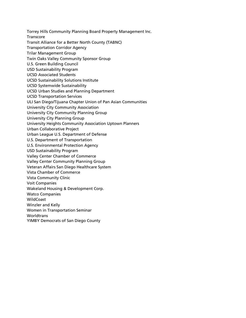Torrey Hills Community Planning Board Property Management Inc.

Transcore

Transit Alliance for a Better North County (TABNC)

- Transportation Corridor Agency
- Trilar Management Group
- Twin Oaks Valley Community Sponsor Group
- U.S. Green Building Council
- USD Sustainability Program
- UCSD Associated Students
- UCSD Sustainability Solutions Institute
- UCSD Systemwide Sustainability
- UCSD Urban Studies and Planning Department
- UCSD Transportation Services
- ULI San Diego/Tijuana Chapter Union of Pan Asian Communities
- University City Community Association
- University City Community Planning Group
- University City Planning Group
- University Heights Community Association Uptown Planners
- Urban Collaborative Project
- Urban League U.S. Department of Defense
- U.S. Department of Transportation
- U.S. Environmental Protection Agency
- USD Sustainability Program
- Valley Center Chamber of Commerce
- Valley Center Community Planning Group
- Veteran Affairs San Diego Healthcare System
- Vista Chamber of Commerce
- Vista Community Clinic
- Voit Companies
- Wakeland Housing & Development Corp.
- Watco Companies
- WildCoast
- Winzler and Kelly
- Women in Transportation Seminar
- **Worldtrans**
- YIMBY Democrats of San Diego County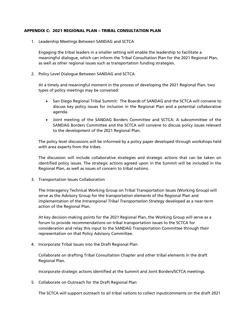#### <span id="page-34-0"></span>APPENDIX C: 2021 REGIONAL PLAN – TRIBAL CONSULTATION PLAN

1. Leadership Meetings Between SANDAG and SCTCA

Engaging the tribal leaders in a smaller setting will enable the leadership to facilitate a meaningful dialogue, which can inform the Tribal Consultation Plan for the 2021 Regional Plan, as well as other regional issues such as transportation funding strategies.

2. Policy Level Dialogue Between SANDAG and SCTCA

At a timely and meaningful moment in the process of developing the 2021 Regional Plan, two types of policy meetings may be convened:

- San Diego Regional Tribal Summit: The Boards of SANDAG and the SCTCA will convene to discuss key policy issues for inclusion in the Regional Plan and a potential collaborative agenda.
- Joint meeting of the SANDAG Borders Committee and SCTCA: A subcommittee of the SANDAG Borders Committee and the SCTCA will convene to discuss policy issues relevant to the development of the 2021 Regional Plan.

The policy level discussions will be informed by a policy paper developed through workshops held with area experts from the tribes.

The discussion will include collaborative strategies and strategic actions that can be taken on identified policy issues. The strategic actions agreed upon in the Summit will be included in the Regional Plan, as well as issues of concern to tribal nations.

3. Transportation Issues Collaboration

The Interagency Technical Working Group on Tribal Transportation Issues (Working Group) will serve as the Advisory Group for the transportation elements of the Regional Plan and implementation of the *Intraregional Tribal Transportation Strategy* developed as a near-term action of the Regional Plan.

At key decision-making points for the 2021 Regional Plan, the Working Group will serve as a forum to provide recommendations on tribal transportation issues to the SCTCA for consideration and relay this input to the SANDAG Transportation Committee through their representation on that Policy Advisory Committee.

4. Incorporate Tribal Issues into the Draft Regional Plan

Collaborate on drafting Tribal Consultation Chapter and other tribal elements in the draft Regional Plan.

Incorporate strategic actions identified at the Summit and Joint Borders/SCTCA meetings.

5. Collaborate on Outreach for the Draft Regional Plan

The SCTCA will support outreach to all tribal nations to collect input/comments on the draft 2021